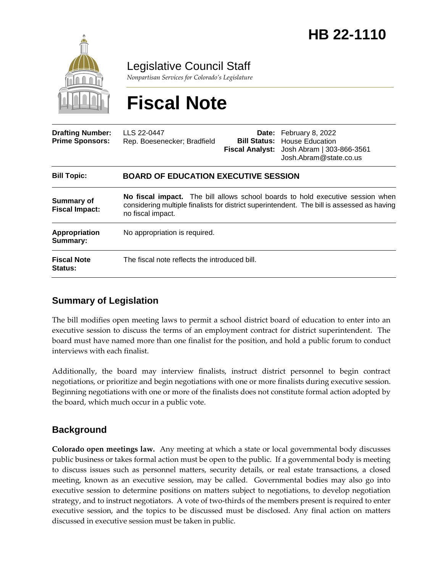

Legislative Council Staff

*Nonpartisan Services for Colorado's Legislature*

# **Fiscal Note**

| <b>Drafting Number:</b><br><b>Prime Sponsors:</b> | LLS 22-0447<br>Rep. Boesenecker; Bradfield                                                                                                                                                        |  | <b>Date:</b> February 8, 2022<br><b>Bill Status:</b> House Education<br>Fiscal Analyst: Josh Abram   303-866-3561<br>Josh.Abram@state.co.us |
|---------------------------------------------------|---------------------------------------------------------------------------------------------------------------------------------------------------------------------------------------------------|--|---------------------------------------------------------------------------------------------------------------------------------------------|
| <b>Bill Topic:</b>                                | <b>BOARD OF EDUCATION EXECUTIVE SESSION</b>                                                                                                                                                       |  |                                                                                                                                             |
| <b>Summary of</b><br><b>Fiscal Impact:</b>        | No fiscal impact. The bill allows school boards to hold executive session when<br>considering multiple finalists for district superintendent. The bill is assessed as having<br>no fiscal impact. |  |                                                                                                                                             |
| Appropriation<br>Summary:                         | No appropriation is required.                                                                                                                                                                     |  |                                                                                                                                             |
| <b>Fiscal Note</b><br><b>Status:</b>              | The fiscal note reflects the introduced bill.                                                                                                                                                     |  |                                                                                                                                             |

### **Summary of Legislation**

The bill modifies open meeting laws to permit a school district board of education to enter into an executive session to discuss the terms of an employment contract for district superintendent. The board must have named more than one finalist for the position, and hold a public forum to conduct interviews with each finalist.

Additionally, the board may interview finalists, instruct district personnel to begin contract negotiations, or prioritize and begin negotiations with one or more finalists during executive session. Beginning negotiations with one or more of the finalists does not constitute formal action adopted by the board, which much occur in a public vote.

### **Background**

**Colorado open meetings law.** Any meeting at which a state or local governmental body discusses public business or takes formal action must be open to the public. If a governmental body is meeting to discuss issues such as personnel matters, security details, or real estate transactions, a closed meeting, known as an executive session, may be called. Governmental bodies may also go into executive session to determine positions on matters subject to negotiations, to develop negotiation strategy, and to instruct negotiators. A vote of two-thirds of the members present is required to enter executive session, and the topics to be discussed must be disclosed. Any final action on matters discussed in executive session must be taken in public.